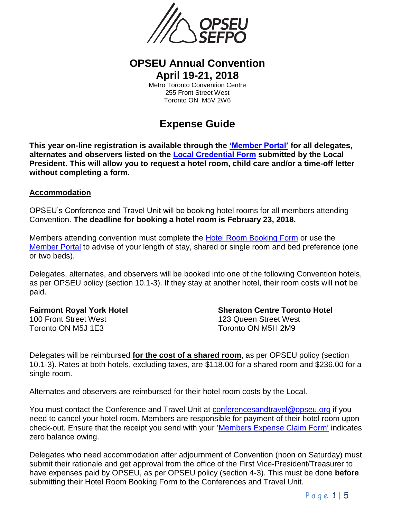

# **OPSEU Annual Convention April 19-21, 2018**

Metro Toronto Convention Centre 255 Front Street West Toronto ON M5V 2W6

# **Expense Guide**

**This year on-line registration is available through the ['Member Portal'](https://members.opseu.org/) for all delegates, alternates and observers listed on the [Local Credential Form](https://opseu.org/sites/default/files/bilingual_convention_credential_form_2018.pdf) submitted by the Local President. This will allow you to request a hotel room, child care and/or a time-off letter without completing a form.** 

### **Accommodation**

OPSEU's Conference and Travel Unit will be booking hotel rooms for all members attending Convention. **The deadline for booking a hotel room is February 23, 2018.**

Members attending convention must complete the [Hotel Room Booking Form](https://opseu.org/sites/default/files/bilingual_convention_hotel_booking_form_2018.pdf) or use the [Member Portal](https://members.opseu.org/) to advise of your length of stay, shared or single room and bed preference (one or two beds).

Delegates, alternates, and observers will be booked into one of the following Convention hotels, as per OPSEU policy (section 10.1-3). If they stay at another hotel, their room costs will **not** be paid.

**Fairmont Royal York Hotel Sheraton Centre Toronto Hotel** 100 Front Street West 123 Queen Street West Toronto ON M5J 1E3 Toronto ON M5H 2M9

Delegates will be reimbursed **for the cost of a shared room**, as per OPSEU policy (section 10.1-3). Rates at both hotels, excluding taxes, are \$118.00 for a shared room and \$236.00 for a single room.

Alternates and observers are reimbursed for their hotel room costs by the Local.

You must contact the Conference and Travel Unit at [conferencesandtravel@opseu.org](mailto:conferencesandtravel@opseu.org) if you need to cancel your hotel room. Members are responsible for payment of their hotel room upon check-out. Ensure that the receipt you send with your ['Members Expense Claim Form'](https://opseu.org/sites/default/files/106-membershipexpenseclaim_nonwagereplacementformaccre.pdf) indicates zero balance owing.

Delegates who need accommodation after adjournment of Convention (noon on Saturday) must submit their rationale and get approval from the office of the First Vice-President/Treasurer to have expenses paid by OPSEU, as per OPSEU policy (section 4-3). This must be done **before** submitting their Hotel Room Booking Form to the Conferences and Travel Unit.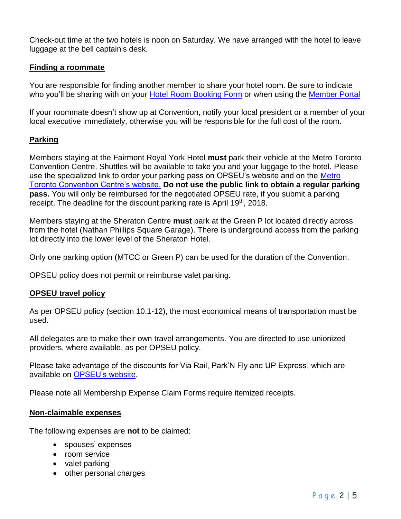Check-out time at the two hotels is noon on Saturday. We have arranged with the hotel to leave luggage at the bell captain's desk.

# **Finding a roommate**

You are responsible for finding another member to share your hotel room. Be sure to indicate who you'll be sharing with on your [Hotel Room Booking Form](https://opseu.org/sites/default/files/bilingual_convention_hotel_booking_form_2018.pdf) or when using the [Member Portal](https://members.opseu.org/)

If your roommate doesn't show up at Convention, notify your local president or a member of your local executive immediately, otherwise you will be responsible for the full cost of the room.

# **Parking**

Members staying at the Fairmont Royal York Hotel **must** park their vehicle at the Metro Toronto Convention Centre. Shuttles will be available to take you and your luggage to the hotel. Please use the specialized link to order your parking pass on OPSEU's website and on the Metro [Toronto Convention Centre's website.](http://www.mtccc.com/opseu) **Do not use the public link to obtain a regular parking pass.** You will only be reimbursed for the negotiated OPSEU rate, if you submit a parking receipt. The deadline for the discount parking rate is April 19<sup>th</sup>, 2018.

Members staying at the Sheraton Centre **must** park at the Green P lot located directly across from the hotel (Nathan Phillips Square Garage). There is underground access from the parking lot directly into the lower level of the Sheraton Hotel.

Only one parking option (MTCC or Green P) can be used for the duration of the Convention.

OPSEU policy does not permit or reimburse valet parking.

# **OPSEU travel policy**

As per OPSEU policy (section 10.1-12), the most economical means of transportation must be used.

All delegates are to make their own travel arrangements. You are directed to use unionized providers, where available, as per OPSEU policy.

Please take advantage of the discounts for Via Rail, Park'N Fly and UP Express, which are available on [OPSEU's website.](https://opseu.org/information/shop-opseu-enterprises-member-discount-programs#toc3)

Please note all Membership Expense Claim Forms require itemized receipts.

### **Non-claimable expenses**

The following expenses are **not** to be claimed:

- spouses' expenses
- room service
- valet parking
- other personal charges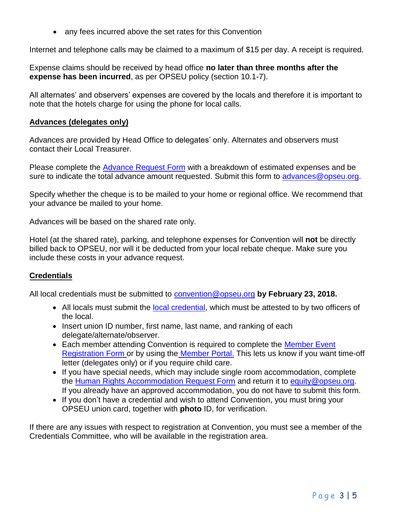• any fees incurred above the set rates for this Convention

Internet and telephone calls may be claimed to a maximum of \$15 per day. A receipt is required.

Expense claims should be received by head office **no later than three months after the expense has been incurred**, as per OPSEU policy (section 10.1-7).

All alternates' and observers' expenses are covered by the locals and therefore it is important to note that the hotels charge for using the phone for local calls.

### **Advances (delegates only)**

Advances are provided by Head Office to delegates' only. Alternates and observers must contact their Local Treasurer.

Please complete the [Advance Request Form](https://opseu.org/sites/default/files/convention_advance_request_2018.pdf) with a breakdown of estimated expenses and be sure to indicate the total advance amount requested. Submit this form to advances@opseu.org.

Specify whether the cheque is to be mailed to your home or regional office. We recommend that your advance be mailed to your home.

Advances will be based on the shared rate only.

Hotel (at the shared rate), parking, and telephone expenses for Convention will **not** be directly billed back to OPSEU, nor will it be deducted from your local rebate cheque. Make sure you include these costs in your advance request.

# **Credentials**

All local credentials must be submitted to [convention@opseu.org](mailto:convention@opseu.org) **by February 23, 2018.**

- All locals must submit the [local credential,](https://opseu.org/sites/default/files/bilingual_convention_credential_form_2018.pdf) which must be attested to by two officers of the local.
- Insert union ID number, first name, last name, and ranking of each delegate/alternate/observer.
- Each member attending Convention is required to complete the [Member Event](https://opseu.org/sites/default/files/bilingual_member_event_registration_form_2018.pdf) [Registration Form](https://opseu.org/sites/default/files/bilingual_member_event_registration_form_2018.pdf) or by using the [Member Portal.](https://members.opseu.org/) This lets us know if you want time-off letter (delegates only) or if you require child care.
- If you have special needs, which may include single room accommodation, complete the [Human Rights Accommodation Request Form](https://opseu.org/sites/default/files/bilingual_human_rights_accommodation_form_2018.pdf) and return it to [equity@opseu.org.](mailto:equity@opseu.org) If you already have an approved accommodation, you do not have to submit this form.
- If you don't have a credential and wish to attend Convention, you must bring your OPSEU union card, together with **photo** ID, for verification.

If there are any issues with respect to registration at Convention, you must see a member of the Credentials Committee, who will be available in the registration area.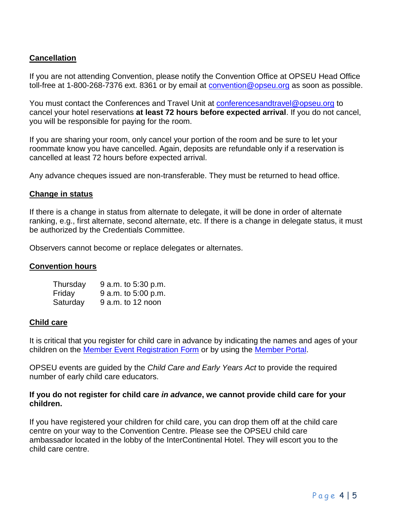# **Cancellation**

If you are not attending Convention, please notify the Convention Office at OPSEU Head Office toll-free at 1-800-268-7376 ext. 8361 or by email at **[convention@opseu.org](mailto:convention@opseu.org)** as soon as possible.

You must contact the Conferences and Travel Unit at [conferencesandtravel@opseu.org](mailto:conferencesandtravel@opseu.org) to cancel your hotel reservations **at least 72 hours before expected arrival**. If you do not cancel, you will be responsible for paying for the room.

If you are sharing your room, only cancel your portion of the room and be sure to let your roommate know you have cancelled. Again, deposits are refundable only if a reservation is cancelled at least 72 hours before expected arrival.

Any advance cheques issued are non-transferable. They must be returned to head office.

### **Change in status**

If there is a change in status from alternate to delegate, it will be done in order of alternate ranking, e.g., first alternate, second alternate, etc. If there is a change in delegate status, it must be authorized by the Credentials Committee.

Observers cannot become or replace delegates or alternates.

### **Convention hours**

| Thursday | 9 a.m. to 5:30 p.m. |
|----------|---------------------|
| Friday   | 9 a.m. to 5:00 p.m. |
| Saturday | $9$ a.m. to 12 noon |

### **Child care**

It is critical that you register for child care in advance by indicating the names and ages of your children on the Member [Event Registration Form](https://opseu.org/sites/default/files/bilingual_member_event_registration_form_2018.pdf) or by using the [Member Portal.](https://members.opseu.org/)

OPSEU events are guided by the *Child Care and Early Years Act* to provide the required number of early child care educators.

### **If you do not register for child care** *in advance***, we cannot provide child care for your children.**

If you have registered your children for child care, you can drop them off at the child care centre on your way to the Convention Centre. Please see the OPSEU child care ambassador located in the lobby of the InterContinental Hotel. They will escort you to the child care centre.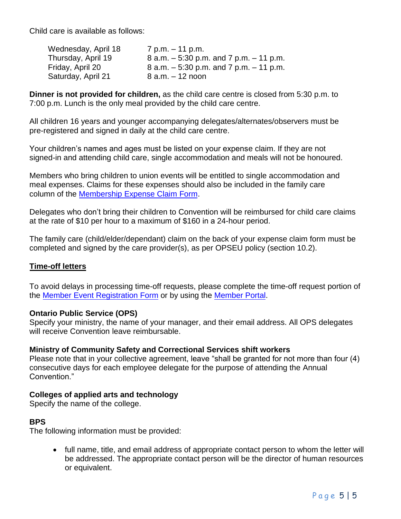Child care is available as follows:

| Wednesday, April 18 | 7 p.m. – 11 p.m.                            |
|---------------------|---------------------------------------------|
| Thursday, April 19  | $8$ a.m. $-5:30$ p.m. and 7 p.m. $-11$ p.m. |
| Friday, April 20    | $8$ a.m. $-5:30$ p.m. and 7 p.m. $-11$ p.m. |
| Saturday, April 21  | $8$ a.m. $-12$ noon                         |

**Dinner is not provided for children,** as the child care centre is closed from 5:30 p.m. to 7:00 p.m. Lunch is the only meal provided by the child care centre.

All children 16 years and younger accompanying delegates/alternates/observers must be pre-registered and signed in daily at the child care centre.

Your children's names and ages must be listed on your expense claim. If they are not signed-in and attending child care, single accommodation and meals will not be honoured.

Members who bring children to union events will be entitled to single accommodation and meal expenses. Claims for these expenses should also be included in the family care column of the [Membership Expense Claim Form.](https://opseu.org/sites/default/files/106-membershipexpenseclaim_nonwagereplacementformaccre.pdf)

Delegates who don't bring their children to Convention will be reimbursed for child care claims at the rate of \$10 per hour to a maximum of \$160 in a 24-hour period.

The family care (child/elder/dependant) claim on the back of your expense claim form must be completed and signed by the care provider(s), as per OPSEU policy (section 10.2).

# **Time-off letters**

To avoid delays in processing time-off requests, please complete the time-off request portion of the [Member Event Registration Form](https://opseu.org/sites/default/files/bilingual_member_event_registration_form_2018.pdf) or by using the [Member Portal.](https://members.opseu.org/)

# **Ontario Public Service (OPS)**

Specify your ministry, the name of your manager, and their email address. All OPS delegates will receive Convention leave reimbursable.

# **Ministry of Community Safety and Correctional Services shift workers**

Please note that in your collective agreement, leave "shall be granted for not more than four (4) consecutive days for each employee delegate for the purpose of attending the Annual Convention."

# **Colleges of applied arts and technology**

Specify the name of the college.

# **BPS**

The following information must be provided:

• full name, title, and email address of appropriate contact person to whom the letter will be addressed. The appropriate contact person will be the director of human resources or equivalent.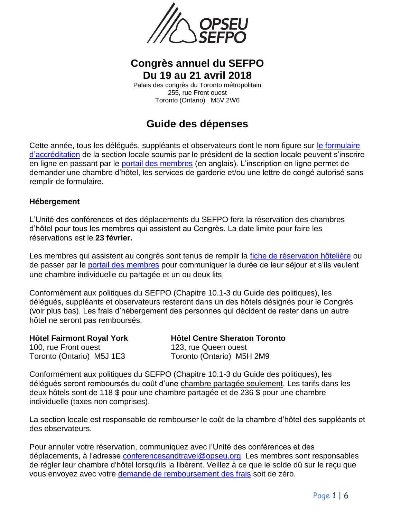

# **Congrès annuel du SEFPO Du 19 au 21 avril 2018**

Palais des congrès du Toronto métropolitain 255, rue Front ouest Toronto (Ontario) M5V 2W6

# **Guide des dépenses**

Cette année, tous les délégués, suppléants et observateurs dont le nom figure sur [le formulaire](https://opseu.org/sites/default/files/bilingual_convention_credential_form_2018.pdf)  [d'accréditation](https://opseu.org/sites/default/files/bilingual_convention_credential_form_2018.pdf) de la section locale soumis par le président de la section locale peuvent s'inscrire en ligne en passant par le [portail des membres](https://opseu.org/members-login) (en anglais). L'inscription en ligne permet de demander une chambre d'hôtel, les services de garderie et/ou une lettre de congé autorisé sans remplir de formulaire.

# **Hébergement**

L'Unité des conférences et des déplacements du SEFPO fera la réservation des chambres d'hôtel pour tous les membres qui assistent au Congrès. La date limite pour faire les réservations est le **23 février.**

Les membres qui assistent au congrès sont tenus de remplir la [fiche de réservation hôtelière](https://opseu.org/sites/default/files/bilingual_convention_hotel_booking_form_2018.pdf) ou de passer par le [portail des membres](https://members.opseu.org/) pour communiquer la durée de leur séjour et s'ils veulent une chambre individuelle ou partagée et un ou deux lits.

Conformément aux politiques du SEFPO (Chapitre 10.1-3 du Guide des politiques), les délégués, suppléants et observateurs resteront dans un des hôtels désignés pour le Congrès (voir plus bas). Les frais d'hébergement des personnes qui décident de rester dans un autre hôtel ne seront pas remboursés.

100, rue Front ouest 123, rue Queen ouest

**Hôtel Fairmont Royal York Hôtel Centre Sheraton Toronto** Toronto (Ontario) M5J 1E3 Toronto (Ontario) M5H 2M9

Conformément aux politiques du SEFPO (Chapitre 10.1-3 du Guide des politiques), les délégués seront remboursés du coût d'une chambre partagée seulement. Les tarifs dans les deux hôtels sont de 118 \$ pour une chambre partagée et de 236 \$ pour une chambre individuelle (taxes non comprises).

La section locale est responsable de rembourser le coût de la chambre d'hôtel des suppléants et des observateurs.

Pour annuler votre réservation, communiquez avec l'Unité des conférences et des déplacements, à l'adresse [conferencesandtravel@opseu.org.](mailto:conferencesandtravel@opseu.org) Les membres sont responsables de régler leur chambre d'hôtel lorsqu'ils la libèrent. Veillez à ce que le solde dû sur le reçu que vous envoyez avec votre [demande de remboursement des frais](https://sefpo.org/sites/default/files/105-demandederemboursementdesfraisdesmembres-remplacementdurevenuaccre.pdf) soit de zéro.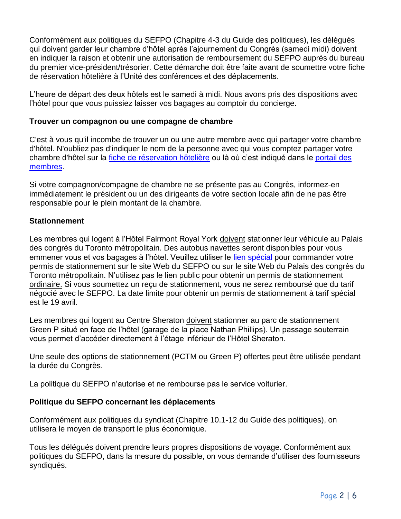Conformément aux politiques du SEFPO (Chapitre 4-3 du Guide des politiques), les délégués qui doivent garder leur chambre d'hôtel après l'ajournement du Congrès (samedi midi) doivent en indiquer la raison et obtenir une autorisation de remboursement du SEFPO auprès du bureau du premier vice-président/trésorier. Cette démarche doit être faite avant de soumettre votre fiche de réservation hôtelière à l'Unité des conférences et des déplacements.

L'heure de départ des deux hôtels est le samedi à midi. Nous avons pris des dispositions avec l'hôtel pour que vous puissiez laisser vos bagages au comptoir du concierge.

# **Trouver un compagnon ou une compagne de chambre**

C'est à vous qu'il incombe de trouver un ou une autre membre avec qui partager votre chambre d'hôtel. N'oubliez pas d'indiquer le nom de la personne avec qui vous comptez partager votre chambre d'hôtel sur la [fiche de réservation hôtelière](https://opseu.org/sites/default/files/bilingual_convention_hotel_booking_form_2018.pdf) ou là où c'est indiqué dans le [portail des](https://members.opseu.org/)  [membres.](https://members.opseu.org/)

Si votre compagnon/compagne de chambre ne se présente pas au Congrès, informez-en immédiatement le président ou un des dirigeants de votre section locale afin de ne pas être responsable pour le plein montant de la chambre.

# **Stationnement**

Les membres qui logent à l'Hôtel Fairmont Royal York doivent stationner leur véhicule au Palais des congrès du Toronto métropolitain. Des autobus navettes seront disponibles pour vous emmener vous et vos bagages à l'hôtel. Veuillez utiliser le [lien spécial](http://www.mtccc.com/opseu) pour commander votre permis de stationnement sur le site Web du SEFPO ou sur le site Web du Palais des congrès du Toronto métropolitain. N'utilisez pas le lien public pour obtenir un permis de stationnement ordinaire. Si vous soumettez un reçu de stationnement, vous ne serez remboursé que du tarif négocié avec le SEFPO. La date limite pour obtenir un permis de stationnement à tarif spécial est le 19 avril.

Les membres qui logent au Centre Sheraton doivent stationner au parc de stationnement Green P situé en face de l'hôtel (garage de la place Nathan Phillips). Un passage souterrain vous permet d'accéder directement à l'étage inférieur de l'Hôtel Sheraton.

Une seule des options de stationnement (PCTM ou Green P) offertes peut être utilisée pendant la durée du Congrès.

La politique du SEFPO n'autorise et ne rembourse pas le service voiturier.

# **Politique du SEFPO concernant les déplacements**

Conformément aux politiques du syndicat (Chapitre 10.1-12 du Guide des politiques), on utilisera le moyen de transport le plus économique.

Tous les délégués doivent prendre leurs propres dispositions de voyage. Conformément aux politiques du SEFPO, dans la mesure du possible, on vous demande d'utiliser des fournisseurs syndiqués.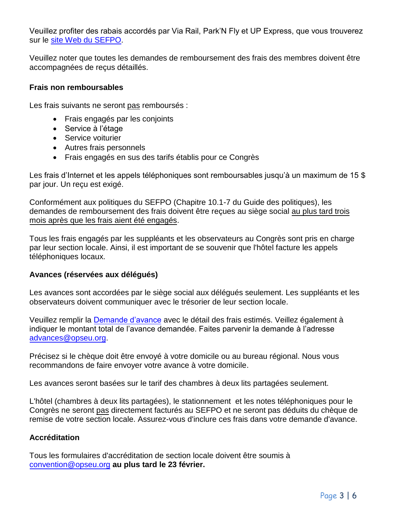Veuillez profiter des rabais accordés par Via Rail, Park'N Fly et UP Express, que vous trouverez sur le [site Web du SEFPO.](https://sefpo.org/information/programmes-descompte#toc3)

Veuillez noter que toutes les demandes de remboursement des frais des membres doivent être accompagnées de reçus détaillés.

### **Frais non remboursables**

Les frais suivants ne seront pas remboursés :

- Frais engagés par les conjoints
- Service à l'étage
- Service voiturier
- Autres frais personnels
- Frais engagés en sus des tarifs établis pour ce Congrès

Les frais d'Internet et les appels téléphoniques sont remboursables jusqu'à un maximum de 15 \$ par jour. Un reçu est exigé.

Conformément aux politiques du SEFPO (Chapitre 10.1-7 du Guide des politiques), les demandes de remboursement des frais doivent être reçues au siège social au plus tard trois mois après que les frais aient été engagés.

Tous les frais engagés par les suppléants et les observateurs au Congrès sont pris en charge par leur section locale. Ainsi, il est important de se souvenir que l'hôtel facture les appels téléphoniques locaux.

# **Avances (réservées aux délégués)**

Les avances sont accordées par le siège social aux délégués seulement. Les suppléants et les observateurs doivent communiquer avec le trésorier de leur section locale.

Veuillez remplir la [Demande d'avance](https://opseu.org/sites/default/files/convention_advance_request_2018.pdf) avec le détail des frais estimés. Veillez également à indiquer le montant total de l'avance demandée. Faites parvenir la demande à l'adresse [advances@opseu.org.](mailto:advances@opseu.org)

Précisez si le chèque doit être envoyé à votre domicile ou au bureau régional. Nous vous recommandons de faire envoyer votre avance à votre domicile.

Les avances seront basées sur le tarif des chambres à deux lits partagées seulement.

L'hôtel (chambres à deux lits partagées), le stationnement et les notes téléphoniques pour le Congrès ne seront pas directement facturés au SEFPO et ne seront pas déduits du chèque de remise de votre section locale. Assurez-vous d'inclure ces frais dans votre demande d'avance.

# **Accréditation**

Tous les formulaires d'accréditation de section locale doivent être soumis à [convention@opseu.org](file:///C:/Users/thumphries/AppData/Local/Microsoft/Windows/INetCache/Content.Outlook/QN1ELY1T/insert%20link) **au plus tard le 23 février.**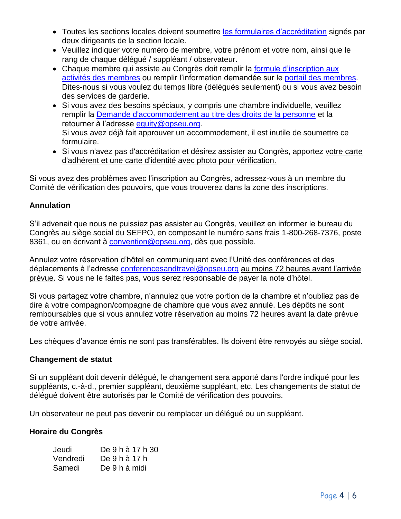- Toutes les sections locales doivent soumettre [les formulaires d'accréditation](https://opseu.org/sites/default/files/bilingual_convention_credential_form_2018.pdf) signés par deux dirigeants de la section locale.
- Veuillez indiquer votre numéro de membre, votre prénom et votre nom, ainsi que le rang de chaque délégué / suppléant / observateur.
- Chaque membre qui assiste au Congrès doit remplir la [formule d'inscription aux](https://opseu.org/sites/default/files/bilingual_member_event_registration_form_2018.pdf) [activités des membres](https://opseu.org/sites/default/files/bilingual_member_event_registration_form_2018.pdf) ou remplir l'information demandée sur le [portail des membres.](https://opseu.org/members-login) Dites-nous si vous voulez du temps libre (délégués seulement) ou si vous avez besoin des services de garderie.
- Si vous avez des besoins spéciaux, y compris une chambre individuelle, veuillez remplir la [Demande d'accommodement au titre des droits de la personne](https://opseu.org/sites/default/files/bilingual_human_rights_accommodation_form_2018.pdf) et la retourner à l'adresse [equity@opseu.org.](file:///C:/Users/thumphries/AppData/Local/Microsoft/Windows/INetCache/Content.Outlook/QN1ELY1T/insert%20link) Si vous avez déjà fait approuver un accommodement, il est inutile de soumettre ce formulaire.
- Si vous n'avez pas d'accréditation et désirez assister au Congrès, apportez votre carte d'adhérent et une carte d'identité avec photo pour vérification.

Si vous avez des problèmes avec l'inscription au Congrès, adressez-vous à un membre du Comité de vérification des pouvoirs, que vous trouverez dans la zone des inscriptions.

# **Annulation**

S'il advenait que nous ne puissiez pas assister au Congrès, veuillez en informer le bureau du Congrès au siège social du SEFPO, en composant le numéro sans frais 1-800-268-7376, poste 8361, ou en écrivant à [convention@opseu.org,](file:///C:/Users/thumphries/AppData/Local/Microsoft/Windows/INetCache/Content.Outlook/QN1ELY1T/insert%20link) dès que possible.

Annulez votre réservation d'hôtel en communiquant avec l'Unité des conférences et des déplacements à l'adresse [conferencesandtravel@opseu.org](file:///C:/Users/thumphries/AppData/Local/Microsoft/Windows/INetCache/Content.Outlook/QN1ELY1T/insert%20link) au moins 72 heures avant l'arrivée prévue. Si vous ne le faites pas, vous serez responsable de payer la note d'hôtel.

Si vous partagez votre chambre, n'annulez que votre portion de la chambre et n'oubliez pas de dire à votre compagnon/compagne de chambre que vous avez annulé. Les dépôts ne sont remboursables que si vous annulez votre réservation au moins 72 heures avant la date prévue de votre arrivée.

Les chèques d'avance émis ne sont pas transférables. Ils doivent être renvoyés au siège social.

# **Changement de statut**

Si un suppléant doit devenir délégué, le changement sera apporté dans l'ordre indiqué pour les suppléants, c.-à-d., premier suppléant, deuxième suppléant, etc. Les changements de statut de délégué doivent être autorisés par le Comité de vérification des pouvoirs.

Un observateur ne peut pas devenir ou remplacer un délégué ou un suppléant.

# **Horaire du Congrès**

| Jeudi    | De 9 h à 17 h 30 |
|----------|------------------|
| Vendredi | De 9 h à 17 h    |
| Samedi   | De 9 h à midi    |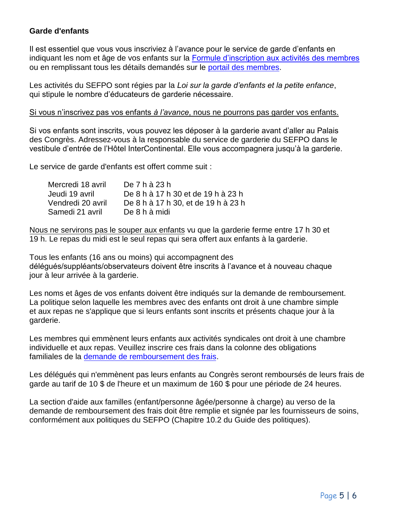# **Garde d'enfants**

Il est essentiel que vous vous inscriviez à l'avance pour le service de garde d'enfants en indiquant les nom et âge de vos enfants sur la [Formule d'inscription aux activités des membres](https://opseu.org/sites/default/files/bilingual_member_event_registration_form_2018.pdf) ou en remplissant tous les détails demandés sur le [portail des membres.](https://members.opseu.org/)

Les activités du SEFPO sont régies par la *Loi sur la garde d'enfants et la petite enfance*, qui stipule le nombre d'éducateurs de garderie nécessaire.

#### Si vous n'inscrivez pas vos enfants *à l'avance*, nous ne pourrons pas garder vos enfants.

Si vos enfants sont inscrits, vous pouvez les déposer à la garderie avant d'aller au Palais des Congrès. Adressez-vous à la responsable du service de garderie du SEFPO dans le vestibule d'entrée de l'Hôtel InterContinental. Elle vous accompagnera jusqu'à la garderie.

Le service de garde d'enfants est offert comme suit :

| Mercredi 18 avril | De 7 h à 23 h                       |
|-------------------|-------------------------------------|
| Jeudi 19 avril    | De 8 h à 17 h 30 et de 19 h à 23 h  |
| Vendredi 20 avril | De 8 h à 17 h 30, et de 19 h à 23 h |
| Samedi 21 avril   | De 8 h à midi                       |

Nous ne servirons pas le souper aux enfants vu que la garderie ferme entre 17 h 30 et 19 h. Le repas du midi est le seul repas qui sera offert aux enfants à la garderie.

Tous les enfants (16 ans ou moins) qui accompagnent des délégués/suppléants/observateurs doivent être inscrits à l'avance et à nouveau chaque jour à leur arrivée à la garderie.

Les noms et âges de vos enfants doivent être indiqués sur la demande de remboursement. La politique selon laquelle les membres avec des enfants ont droit à une chambre simple et aux repas ne s'applique que si leurs enfants sont inscrits et présents chaque jour à la garderie.

Les membres qui emmènent leurs enfants aux activités syndicales ont droit à une chambre individuelle et aux repas. Veuillez inscrire ces frais dans la colonne des obligations familiales de la [demande de remboursement des frais.](https://sefpo.org/sites/default/files/105-demandederemboursementdesfraisdesmembres-remplacementdurevenuaccre.pdf)

Les délégués qui n'emmènent pas leurs enfants au Congrès seront remboursés de leurs frais de garde au tarif de 10 \$ de l'heure et un maximum de 160 \$ pour une période de 24 heures.

La section d'aide aux familles (enfant/personne âgée/personne à charge) au verso de la demande de remboursement des frais doit être remplie et signée par les fournisseurs de soins, conformément aux politiques du SEFPO (Chapitre 10.2 du Guide des politiques).